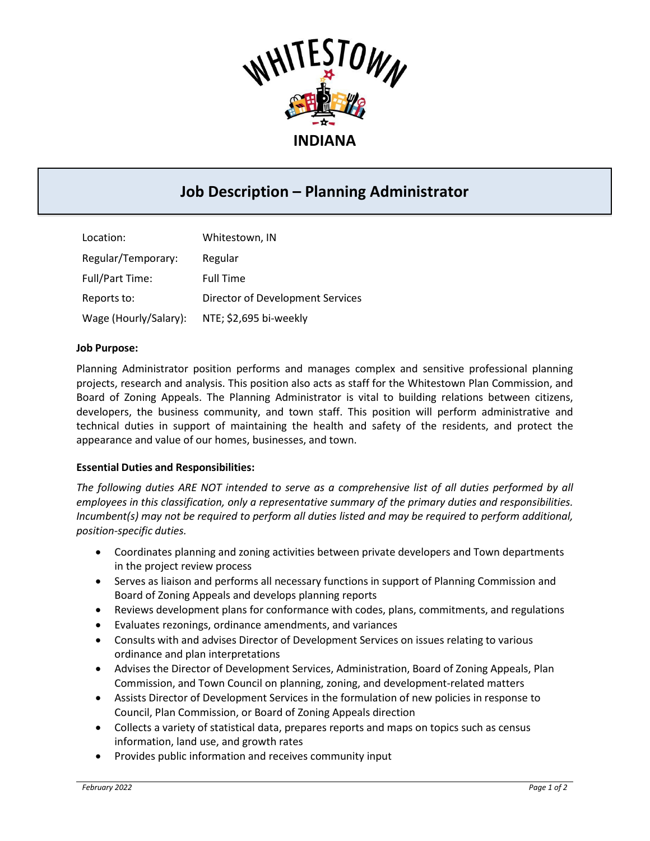

# **Job Description – Planning Administrator**

| Location:              | Whitestown, IN                   |
|------------------------|----------------------------------|
| Regular/Temporary:     | Regular                          |
| <b>Full/Part Time:</b> | <b>Full Time</b>                 |
| Reports to:            | Director of Development Services |
| Wage (Hourly/Salary):  | NTE; \$2,695 bi-weekly           |

#### **Job Purpose:**

Planning Administrator position performs and manages complex and sensitive professional planning projects, research and analysis. This position also acts as staff for the Whitestown Plan Commission, and Board of Zoning Appeals. The Planning Administrator is vital to building relations between citizens, developers, the business community, and town staff. This position will perform administrative and technical duties in support of maintaining the health and safety of the residents, and protect the appearance and value of our homes, businesses, and town.

## **Essential Duties and Responsibilities:**

*The following duties ARE NOT intended to serve as a comprehensive list of all duties performed by all employees in this classification, only a representative summary of the primary duties and responsibilities. Incumbent(s) may not be required to perform all duties listed and may be required to perform additional, position-specific duties.*

- Coordinates planning and zoning activities between private developers and Town departments in the project review process
- Serves as liaison and performs all necessary functions in support of Planning Commission and Board of Zoning Appeals and develops planning reports
- Reviews development plans for conformance with codes, plans, commitments, and regulations
- Evaluates rezonings, ordinance amendments, and variances
- Consults with and advises Director of Development Services on issues relating to various ordinance and plan interpretations
- Advises the Director of Development Services, Administration, Board of Zoning Appeals, Plan Commission, and Town Council on planning, zoning, and development-related matters
- Assists Director of Development Services in the formulation of new policies in response to Council, Plan Commission, or Board of Zoning Appeals direction
- Collects a variety of statistical data, prepares reports and maps on topics such as census information, land use, and growth rates
- Provides public information and receives community input